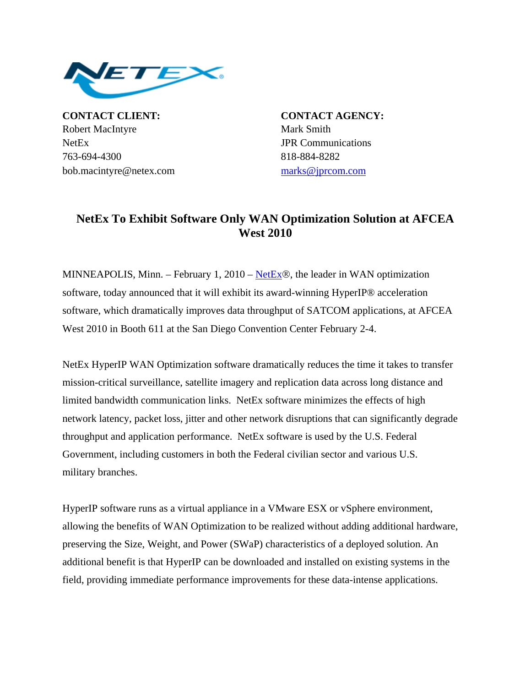

**CONTACT CLIENT: CONTACT AGENCY:** Robert MacIntyre Mark Smith NetEx JPR Communications 763-694-4300 818-884-8282 bob.macintyre@netex.com [marks@jprcom.com](mailto:marks@jprcom.com)

## **NetEx To Exhibit Software Only WAN Optimization Solution at AFCEA West 2010**

MINNEAPOLIS, Minn. – February 1, 2010 – [NetEx](http://www.netex.com/)®, the leader in WAN optimization software, today announced that it will exhibit its award-winning HyperIP® acceleration software, which dramatically improves data throughput of SATCOM applications, at AFCEA West 2010 in Booth 611 at the San Diego Convention Center February 2-4.

NetEx HyperIP WAN Optimization software dramatically reduces the time it takes to transfer mission-critical surveillance, satellite imagery and replication data across long distance and limited bandwidth communication links. NetEx software minimizes the effects of high network latency, packet loss, jitter and other network disruptions that can significantly degrade throughput and application performance. NetEx software is used by the U.S. Federal Government, including customers in both the Federal civilian sector and various U.S. military branches.

HyperIP software runs as a virtual appliance in a VMware ESX or vSphere environment, allowing the benefits of WAN Optimization to be realized without adding additional hardware, preserving the Size, Weight, and Power (SWaP) characteristics of a deployed solution. An additional benefit is that HyperIP can be downloaded and installed on existing systems in the field, providing immediate performance improvements for these data-intense applications.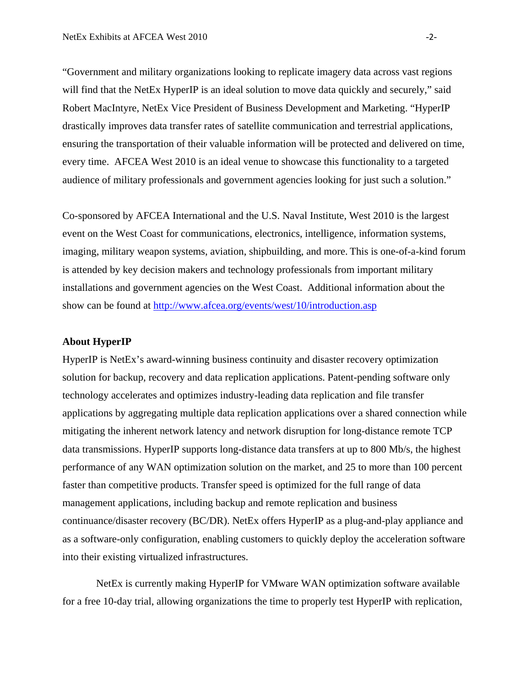"Government and military organizations looking to replicate imagery data across vast regions will find that the NetEx HyperIP is an ideal solution to move data quickly and securely," said Robert MacIntyre, NetEx Vice President of Business Development and Marketing. "HyperIP drastically improves data transfer rates of satellite communication and terrestrial applications, ensuring the transportation of their valuable information will be protected and delivered on time, every time. AFCEA West 2010 is an ideal venue to showcase this functionality to a targeted audience of military professionals and government agencies looking for just such a solution."

Co-sponsored by AFCEA International and the U.S. Naval Institute, West 2010 is the largest event on the West Coast for communications, electronics, intelligence, information systems, imaging, military weapon systems, aviation, shipbuilding, and more. This is one-of-a-kind forum is attended by key decision makers and technology professionals from important military installations and government agencies on the West Coast. Additional information about the show can be found at <http://www.afcea.org/events/west/10/introduction.asp>

## **About HyperIP**

HyperIP is NetEx's award-winning business continuity and disaster recovery optimization solution for backup, recovery and data replication applications. Patent-pending software only technology accelerates and optimizes industry-leading data replication and file transfer applications by aggregating multiple data replication applications over a shared connection while mitigating the inherent network latency and network disruption for long-distance remote TCP data transmissions. HyperIP supports long-distance data transfers at up to 800 Mb/s, the highest performance of any WAN optimization solution on the market, and 25 to more than 100 percent faster than competitive products. Transfer speed is optimized for the full range of data management applications, including backup and remote replication and business continuance/disaster recovery (BC/DR). NetEx offers HyperIP as a plug-and-play appliance and as a software-only configuration, enabling customers to quickly deploy the acceleration software into their existing virtualized infrastructures.

 NetEx is currently making HyperIP for VMware WAN optimization software available for a free 10-day trial, allowing organizations the time to properly test HyperIP with replication,